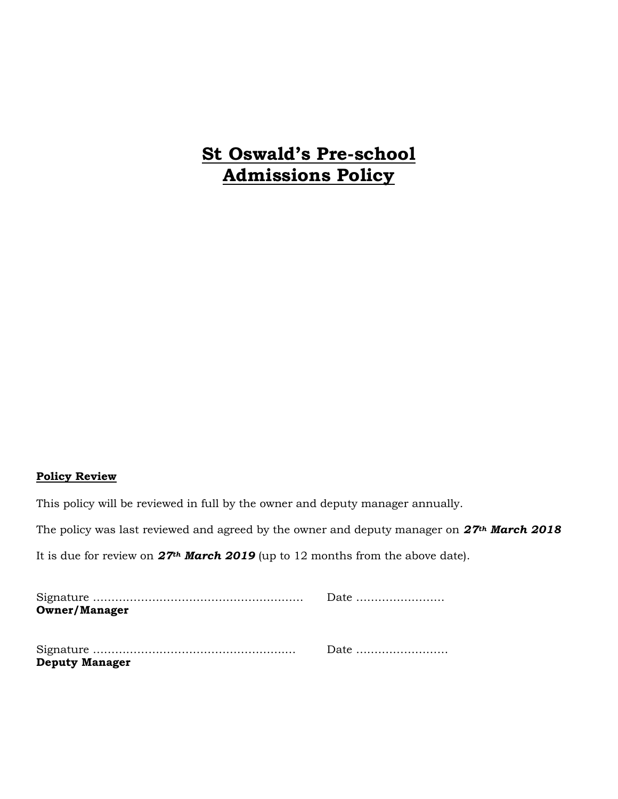# **St Oswald's Pre-school Admissions Policy**

#### **Policy Review**

This policy will be reviewed in full by the owner and deputy manager annually.

The policy was last reviewed and agreed by the owner and deputy manager on *27th March 2018*

It is due for review on *27th March 2019* (up to 12 months from the above date).

|                       | Date |
|-----------------------|------|
| <b>Owner/Manager</b>  |      |
|                       |      |
|                       |      |
|                       |      |
| <b>Deputy Manager</b> |      |